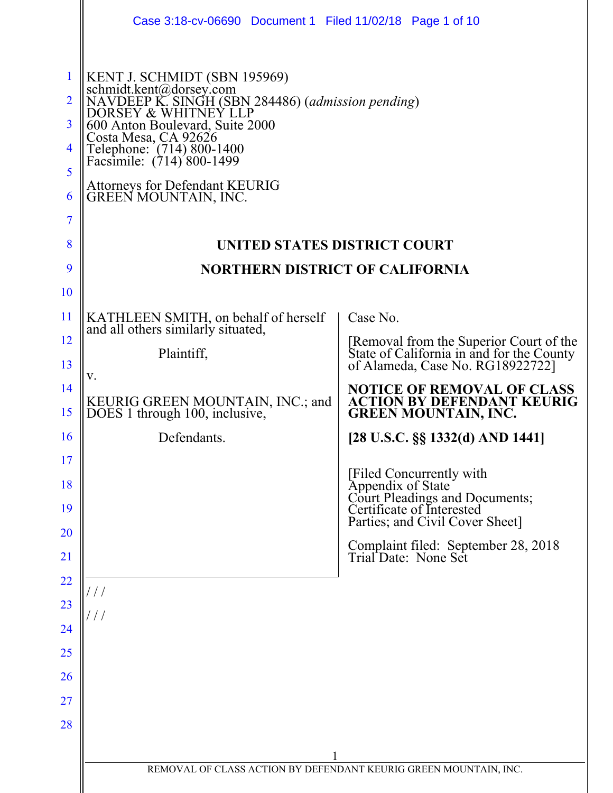|                                         | Case 3:18-cv-06690 Document 1 Filed 11/02/18 Page 1 of 10                                                                                                                                                                                                                                                           |                                                                                                                          |
|-----------------------------------------|---------------------------------------------------------------------------------------------------------------------------------------------------------------------------------------------------------------------------------------------------------------------------------------------------------------------|--------------------------------------------------------------------------------------------------------------------------|
| $\overline{2}$<br>3<br>4<br>5<br>6<br>7 | KENT J. SCHMIDT (SBN 195969)<br>schmidt.kent@dorsey.com<br>NAVDEEP K. SINGH (SBN 284486) (admission pending)<br>DORSEY & WHITNEY LLP<br>600 Anton Boulevard, Suite 2000<br>Costa Mesa, CA 92626<br>Telephone: (714) 800-1400<br>Facsimile: (714) 800-1499<br>Attorneys for Defendant KEURIG<br>GREEN MOUNTAIN, INC. |                                                                                                                          |
| 8                                       | <b>UNITED STATES DISTRICT COURT</b>                                                                                                                                                                                                                                                                                 |                                                                                                                          |
| 9                                       | <b>NORTHERN DISTRICT OF CALIFORNIA</b>                                                                                                                                                                                                                                                                              |                                                                                                                          |
| 10                                      |                                                                                                                                                                                                                                                                                                                     |                                                                                                                          |
| 11                                      | KATHLEEN SMITH, on behalf of herself<br>and all others similarly situated,                                                                                                                                                                                                                                          | Case No.                                                                                                                 |
| 12<br>13                                | Plaintiff,                                                                                                                                                                                                                                                                                                          | [Removal from the Superior Court of the<br>State of California in and for the County<br>of Alameda, Case No. RG18922722] |
| 14<br>15                                | v.<br>KEURIG GREEN MOUNTAIN, INC.; and<br>DOES 1 through 100, inclusive,                                                                                                                                                                                                                                            | <b>NOTICE OF REMOVAL OF CLASS</b><br><b>ACTION BY DEFENDANT KEURIG</b><br><b>GREEN MOUNTAIN, INC.</b>                    |
| 16                                      | Defendants.                                                                                                                                                                                                                                                                                                         | $[28 \text{ U.S.C.} \$ §§ 1332(d) AND 1441]                                                                              |
| 17                                      |                                                                                                                                                                                                                                                                                                                     |                                                                                                                          |
| 18<br>19                                |                                                                                                                                                                                                                                                                                                                     | [Filed Concurrently with<br>Appendix of State<br>Court Pleadings and Documents;<br>Certificate of Interested             |
| 20                                      |                                                                                                                                                                                                                                                                                                                     | Parties; and Civil Cover Sheet]                                                                                          |
| 21                                      |                                                                                                                                                                                                                                                                                                                     | Complaint filed: September 28, 2018<br>Trial Date: None Set                                                              |
| 22                                      |                                                                                                                                                                                                                                                                                                                     |                                                                                                                          |
| 23                                      |                                                                                                                                                                                                                                                                                                                     |                                                                                                                          |
| 24                                      |                                                                                                                                                                                                                                                                                                                     |                                                                                                                          |
| 25<br>26                                |                                                                                                                                                                                                                                                                                                                     |                                                                                                                          |
| 27                                      |                                                                                                                                                                                                                                                                                                                     |                                                                                                                          |
| 28                                      |                                                                                                                                                                                                                                                                                                                     |                                                                                                                          |
|                                         | 1                                                                                                                                                                                                                                                                                                                   |                                                                                                                          |
|                                         | REMOVAL OF CLASS ACTION BY DEFENDANT KEURIG GREEN MOUNTAIN, INC.                                                                                                                                                                                                                                                    |                                                                                                                          |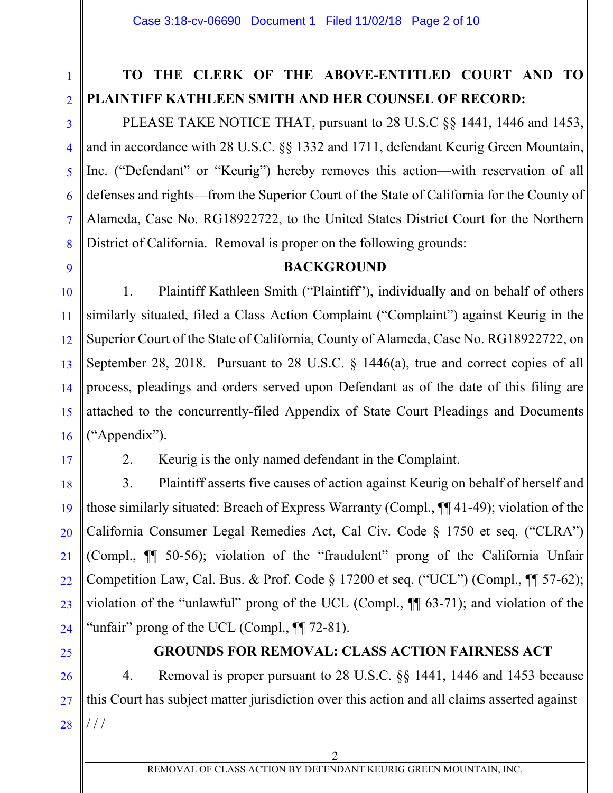# **TO THE CLERK OF THE ABOVE-ENTITLED COURT AND TO PLAINTIFF KATHLEEN SMITH AND HER COUNSEL OF RECORD:**

PLEASE TAKE NOTICE THAT, pursuant to 28 U.S.C §§ 1441, 1446 and 1453, and in accordance with 28 U.S.C. §§ 1332 and 1711, defendant Keurig Green Mountain, Inc. ("Defendant" or "Keurig") hereby removes this action—with reservation of all defenses and rights—from the Superior Court of the State of California for the County of Alameda, Case No. RG18922722, to the United States District Court for the Northern District of California. Removal is proper on the following grounds:

#### **BACKGROUND**

1. Plaintiff Kathleen Smith ("Plaintiff"), individually and on behalf of others similarly situated, filed a Class Action Complaint ("Complaint") against Keurig in the Superior Court of the State of California, County of Alameda, Case No. RG18922722, on September 28, 2018. Pursuant to 28 U.S.C. § 1446(a), true and correct copies of all process, pleadings and orders served upon Defendant as of the date of this filing are attached to the concurrently-filed Appendix of State Court Pleadings and Documents ("Appendix").

17

1

2

3

4

5

6

7

8

9

10

11

12

13

14

15

16

18

19

20

21

22

23

2. Keurig is the only named defendant in the Complaint.

3. Plaintiff asserts five causes of action against Keurig on behalf of herself and those similarly situated: Breach of Express Warranty (Compl., ¶¶ 41-49); violation of the California Consumer Legal Remedies Act, Cal Civ. Code § 1750 et seq. ("CLRA") (Compl., ¶¶ 50-56); violation of the "fraudulent" prong of the California Unfair Competition Law, Cal. Bus. & Prof. Code § 17200 et seq. ("UCL") (Compl., ¶¶ 57-62); violation of the "unlawful" prong of the UCL (Compl., ¶¶ 63-71); and violation of the "unfair" prong of the UCL (Compl.,  $\P$  72-81).

25

#### **GROUNDS FOR REMOVAL: CLASS ACTION FAIRNESS ACT**

26 27 28 4. Removal is proper pursuant to 28 U.S.C. §§ 1441, 1446 and 1453 because this Court has subject matter jurisdiction over this action and all claims asserted against / / /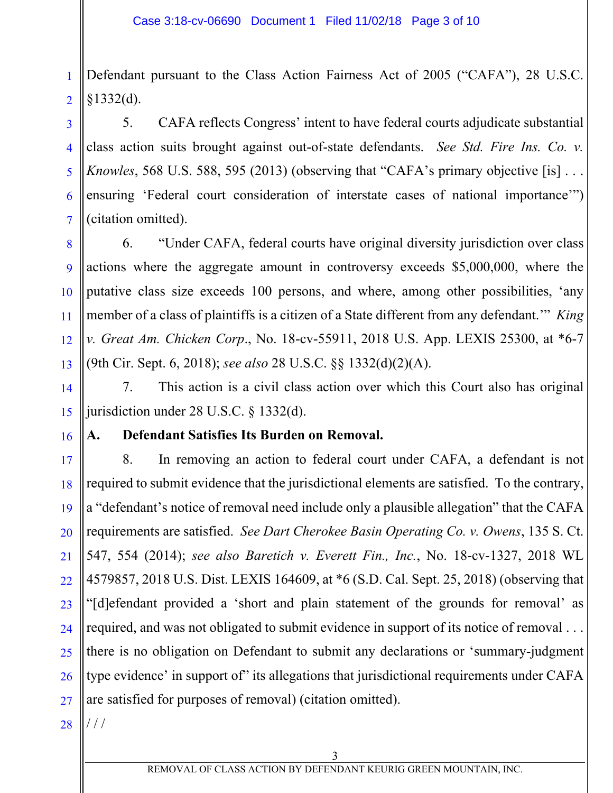1 2 Defendant pursuant to the Class Action Fairness Act of 2005 ("CAFA"), 28 U.S.C.  $§1332(d).$ 

3 4 5 6 7 5. CAFA reflects Congress' intent to have federal courts adjudicate substantial class action suits brought against out-of-state defendants. *See Std. Fire Ins. Co. v. Knowles*, 568 U.S. 588, 595 (2013) (observing that "CAFA's primary objective [is] ... ensuring 'Federal court consideration of interstate cases of national importance'") (citation omitted).

6. "Under CAFA, federal courts have original diversity jurisdiction over class actions where the aggregate amount in controversy exceeds \$5,000,000, where the putative class size exceeds 100 persons, and where, among other possibilities, 'any member of a class of plaintiffs is a citizen of a State different from any defendant.'" *King v. Great Am. Chicken Corp*., No. 18-cv-55911, 2018 U.S. App. LEXIS 25300, at \*6-7 (9th Cir. Sept. 6, 2018); *see also* 28 U.S.C. §§ 1332(d)(2)(A).

14 15 7. This action is a civil class action over which this Court also has original jurisdiction under 28 U.S.C. § 1332(d).

#### 16

8

9

10

11

12

13

#### **A. Defendant Satisfies Its Burden on Removal.**

17 18 19 20 21 22 23 24 25 26 27 8. In removing an action to federal court under CAFA, a defendant is not required to submit evidence that the jurisdictional elements are satisfied. To the contrary, a "defendant's notice of removal need include only a plausible allegation" that the CAFA requirements are satisfied. *See Dart Cherokee Basin Operating Co. v. Owens*, 135 S. Ct. 547, 554 (2014); *see also Baretich v. Everett Fin., Inc.*, No. 18-cv-1327, 2018 WL 4579857, 2018 U.S. Dist. LEXIS 164609, at \*6 (S.D. Cal. Sept. 25, 2018) (observing that "[d]efendant provided a 'short and plain statement of the grounds for removal' as required, and was not obligated to submit evidence in support of its notice of removal . . . there is no obligation on Defendant to submit any declarations or 'summary-judgment type evidence' in support of" its allegations that jurisdictional requirements under CAFA are satisfied for purposes of removal) (citation omitted).

28  $//$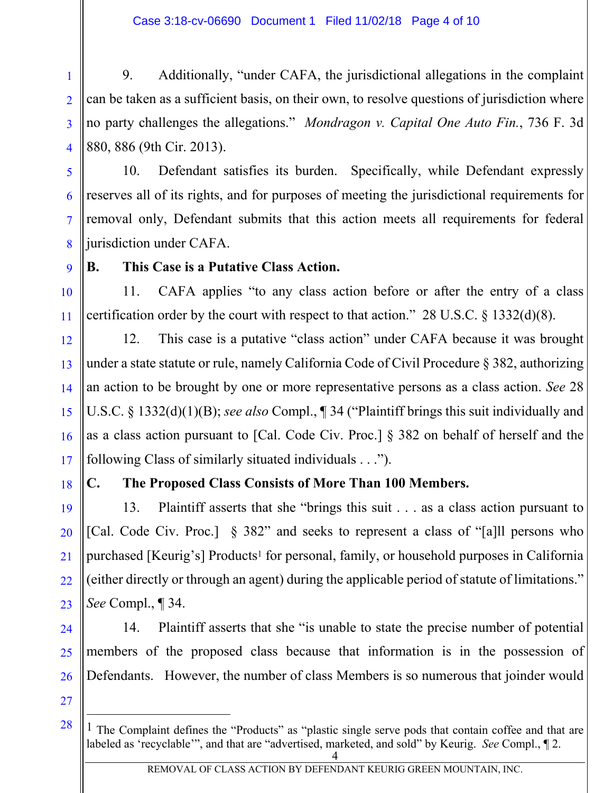1 2 3 4 9. Additionally, "under CAFA, the jurisdictional allegations in the complaint can be taken as a sufficient basis, on their own, to resolve questions of jurisdiction where no party challenges the allegations." *Mondragon v. Capital One Auto Fin.*, 736 F. 3d 880, 886 (9th Cir. 2013).

5

6

7

8

10. Defendant satisfies its burden. Specifically, while Defendant expressly reserves all of its rights, and for purposes of meeting the jurisdictional requirements for removal only, Defendant submits that this action meets all requirements for federal jurisdiction under CAFA.

9

10

11

#### **B. This Case is a Putative Class Action.**

11. CAFA applies "to any class action before or after the entry of a class certification order by the court with respect to that action." 28 U.S.C. § 1332(d)(8).

12 13 14 15 16 17 12. This case is a putative "class action" under CAFA because it was brought under a state statute or rule, namely California Code of Civil Procedure § 382, authorizing an action to be brought by one or more representative persons as a class action. *See* 28 U.S.C. § 1332(d)(1)(B); *see also* Compl., ¶ 34 ("Plaintiff brings this suit individually and as a class action pursuant to [Cal. Code Civ. Proc.] § 382 on behalf of herself and the following Class of similarly situated individuals . . .").

18

19

20

21

22

23

# **C. The Proposed Class Consists of More Than 100 Members.**

13. Plaintiff asserts that she "brings this suit . . . as a class action pursuant to [Cal. Code Civ. Proc.] § 382" and seeks to represent a class of "[a]ll persons who purchased [Keurig's] Products1 for personal, family, or household purposes in California (either directly or through an agent) during the applicable period of statute of limitations." *See* Compl., ¶ 34.

24 25 26 14. Plaintiff asserts that she "is unable to state the precise number of potential members of the proposed class because that information is in the possession of Defendants. However, the number of class Members is so numerous that joinder would

27

28

 $\overline{a}$ 

<sup>4</sup>  <sup>1</sup> The Complaint defines the "Products" as "plastic single serve pods that contain coffee and that are labeled as 'recyclable'", and that are "advertised, marketed, and sold" by Keurig. *See* Compl., ¶ 2.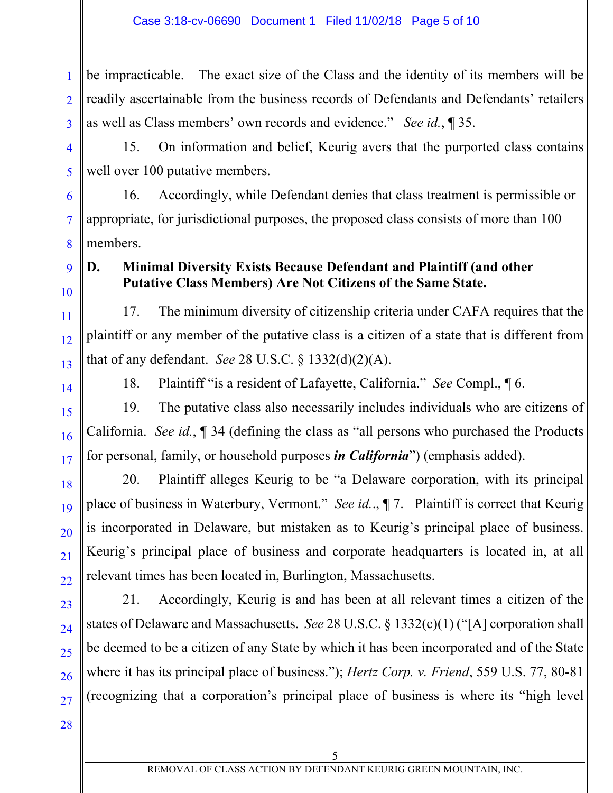1 2 3 be impracticable. The exact size of the Class and the identity of its members will be readily ascertainable from the business records of Defendants and Defendants' retailers as well as Class members' own records and evidence." *See id.*, ¶ 35.

4 5 15. On information and belief, Keurig avers that the purported class contains well over 100 putative members.

16. Accordingly, while Defendant denies that class treatment is permissible or appropriate, for jurisdictional purposes, the proposed class consists of more than 100 members.

# **D. Minimal Diversity Exists Because Defendant and Plaintiff (and other Putative Class Members) Are Not Citizens of the Same State.**

17. The minimum diversity of citizenship criteria under CAFA requires that the plaintiff or any member of the putative class is a citizen of a state that is different from that of any defendant. *See* 28 U.S.C. § 1332(d)(2)(A).

6

7

8

9

10

11

12

13

14

15

16

17

18

19

20

21

22

23

24

25

26

18. Plaintiff "is a resident of Lafayette, California." *See* Compl., ¶ 6.

19. The putative class also necessarily includes individuals who are citizens of California. *See id.*, ¶ 34 (defining the class as "all persons who purchased the Products for personal, family, or household purposes *in California*") (emphasis added).

20. Plaintiff alleges Keurig to be "a Delaware corporation, with its principal place of business in Waterbury, Vermont." *See id.*., ¶ 7. Plaintiff is correct that Keurig is incorporated in Delaware, but mistaken as to Keurig's principal place of business. Keurig's principal place of business and corporate headquarters is located in, at all relevant times has been located in, Burlington, Massachusetts.

21. Accordingly, Keurig is and has been at all relevant times a citizen of the states of Delaware and Massachusetts. *See* 28 U.S.C. § 1332(c)(1) ("[A] corporation shall be deemed to be a citizen of any State by which it has been incorporated and of the State where it has its principal place of business."); *Hertz Corp. v. Friend*, 559 U.S. 77, 80-81 (recognizing that a corporation's principal place of business is where its "high level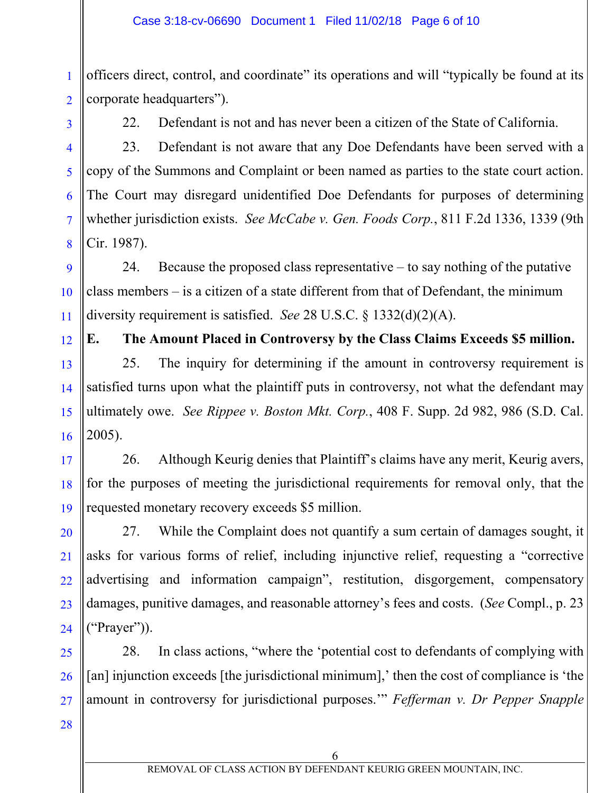1 2 officers direct, control, and coordinate" its operations and will "typically be found at its corporate headquarters").

3

4

5

6

7

8

9

10

11

12

13

14

15

16

17

19

20

21

22

23

24

22. Defendant is not and has never been a citizen of the State of California.

23. Defendant is not aware that any Doe Defendants have been served with a copy of the Summons and Complaint or been named as parties to the state court action. The Court may disregard unidentified Doe Defendants for purposes of determining whether jurisdiction exists. *See McCabe v. Gen. Foods Corp.*, 811 F.2d 1336, 1339 (9th Cir. 1987).

24. Because the proposed class representative – to say nothing of the putative class members – is a citizen of a state different from that of Defendant, the minimum diversity requirement is satisfied. *See* 28 U.S.C. § 1332(d)(2)(A).

**E. The Amount Placed in Controversy by the Class Claims Exceeds \$5 million.** 

25. The inquiry for determining if the amount in controversy requirement is satisfied turns upon what the plaintiff puts in controversy, not what the defendant may ultimately owe. *See Rippee v. Boston Mkt. Corp.*, 408 F. Supp. 2d 982, 986 (S.D. Cal. 2005).

18 26. Although Keurig denies that Plaintiff's claims have any merit, Keurig avers, for the purposes of meeting the jurisdictional requirements for removal only, that the requested monetary recovery exceeds \$5 million.

27. While the Complaint does not quantify a sum certain of damages sought, it asks for various forms of relief, including injunctive relief, requesting a "corrective advertising and information campaign", restitution, disgorgement, compensatory damages, punitive damages, and reasonable attorney's fees and costs. (*See* Compl., p. 23 ("Prayer")).

25 26 27 28. In class actions, "where the 'potential cost to defendants of complying with [an] injunction exceeds [the jurisdictional minimum],' then the cost of compliance is 'the amount in controversy for jurisdictional purposes.'" *Fefferman v. Dr Pepper Snapple* 

28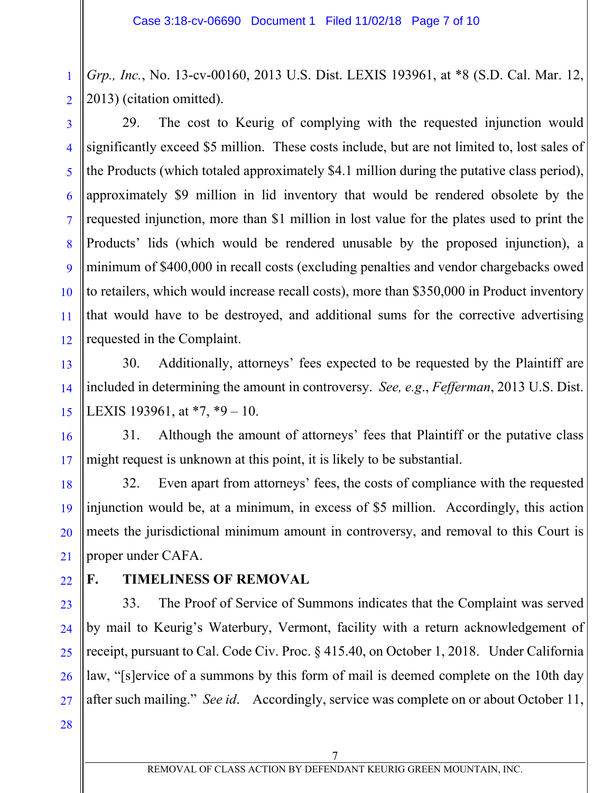1 2 *Grp., Inc.*, No. 13-cv-00160, 2013 U.S. Dist. LEXIS 193961, at \*8 (S.D. Cal. Mar. 12, 2013) (citation omitted).

3 4 5 6 7 8 9 10 11 12 29. The cost to Keurig of complying with the requested injunction would significantly exceed \$5 million. These costs include, but are not limited to, lost sales of the Products (which totaled approximately \$4.1 million during the putative class period), approximately \$9 million in lid inventory that would be rendered obsolete by the requested injunction, more than \$1 million in lost value for the plates used to print the Products' lids (which would be rendered unusable by the proposed injunction), a minimum of \$400,000 in recall costs (excluding penalties and vendor chargebacks owed to retailers, which would increase recall costs), more than \$350,000 in Product inventory that would have to be destroyed, and additional sums for the corrective advertising requested in the Complaint.

30. Additionally, attorneys' fees expected to be requested by the Plaintiff are included in determining the amount in controversy. *See, e.g*., *Fefferman*, 2013 U.S. Dist. LEXIS 193961, at \*7, \*9 – 10.

16 17 31. Although the amount of attorneys' fees that Plaintiff or the putative class might request is unknown at this point, it is likely to be substantial.

32. Even apart from attorneys' fees, the costs of compliance with the requested injunction would be, at a minimum, in excess of \$5 million. Accordingly, this action meets the jurisdictional minimum amount in controversy, and removal to this Court is proper under CAFA.

22

13

14

15

18

19

20

21

# **F. TIMELINESS OF REMOVAL**

23 24 25 26 27 33. The Proof of Service of Summons indicates that the Complaint was served by mail to Keurig's Waterbury, Vermont, facility with a return acknowledgement of receipt, pursuant to Cal. Code Civ. Proc. § 415.40, on October 1, 2018. Under California law, "[s]ervice of a summons by this form of mail is deemed complete on the 10th day after such mailing." *See id*. Accordingly, service was complete on or about October 11,

28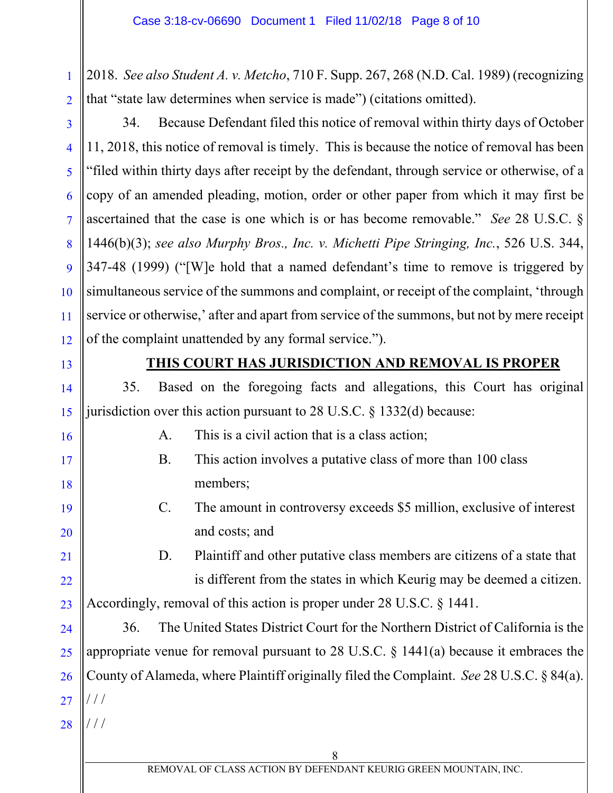1 2 2018. *See also Student A. v. Metcho*, 710 F. Supp. 267, 268 (N.D. Cal. 1989) (recognizing that "state law determines when service is made") (citations omitted).

3 4 5 6 7 8 9 10 11 12 34. Because Defendant filed this notice of removal within thirty days of October 11, 2018, this notice of removal is timely. This is because the notice of removal has been "filed within thirty days after receipt by the defendant, through service or otherwise, of a copy of an amended pleading, motion, order or other paper from which it may first be ascertained that the case is one which is or has become removable." *See* 28 U.S.C. § 1446(b)(3); *see also Murphy Bros., Inc. v. Michetti Pipe Stringing, Inc.*, 526 U.S. 344, 347-48 (1999) ("[W]e hold that a named defendant's time to remove is triggered by simultaneous service of the summons and complaint, or receipt of the complaint, 'through service or otherwise,' after and apart from service of the summons, but not by mere receipt of the complaint unattended by any formal service.").

13

14

15

16

17

18

19

20

21

22

23

### **THIS COURT HAS JURISDICTION AND REMOVAL IS PROPER**

35. Based on the foregoing facts and allegations, this Court has original jurisdiction over this action pursuant to 28 U.S.C. § 1332(d) because:

- A. This is a civil action that is a class action;
- B. This action involves a putative class of more than 100 class members;
- C. The amount in controversy exceeds \$5 million, exclusive of interest and costs; and

D. Plaintiff and other putative class members are citizens of a state that is different from the states in which Keurig may be deemed a citizen. Accordingly, removal of this action is proper under 28 U.S.C. § 1441.

24 25 26 27 36. The United States District Court for the Northern District of California is the appropriate venue for removal pursuant to 28 U.S.C. § 1441(a) because it embraces the County of Alameda, where Plaintiff originally filed the Complaint. *See* 28 U.S.C. § 84(a). / / /

28 / / /